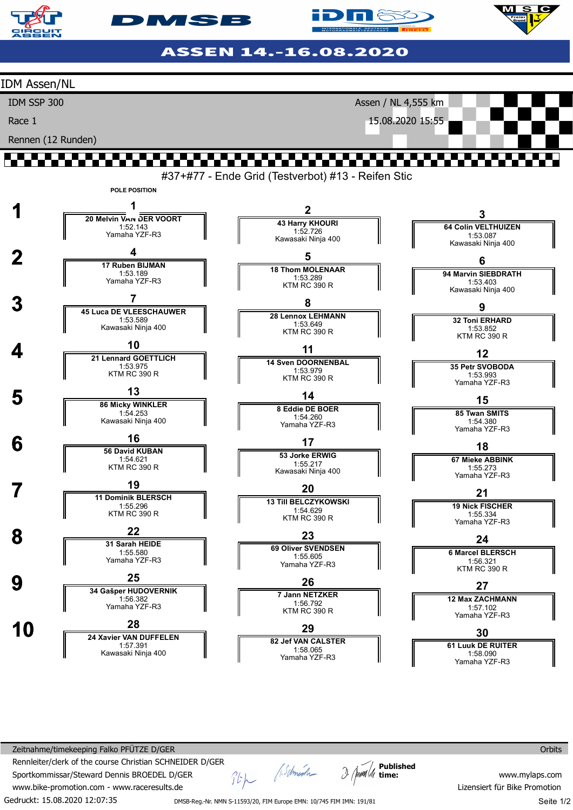

**DIMSB** 

**id niš**k

ASSEN 14.-16.08.2020



Zeitnahme/timekeeping Falko PFÜTZE D/GER Rennleiter/clerk of the course Christian SCHNEIDER D/GER Sportkommissar/Steward Dennis BROEDEL D/GER www.bike-promotion.com - www.raceresults.de

Gedruckt: 15.08.2020 12:07:35

Stp (Schmooth

**Published time:**

**Orbits** 

www.mylaps.com Lizensiert für Bike Promotion Seite 1/2

DMSB-Reg.-Nr. NMN S-11593/20, FIM Europe EMN: 10/745 FIM IMN: 191/81